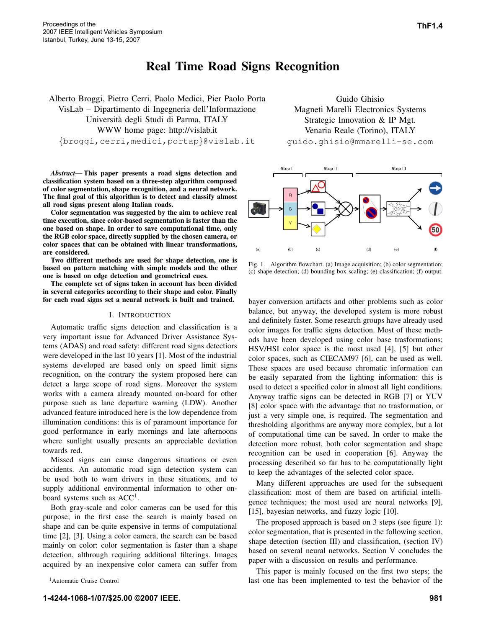# Real Time Road Signs Recognition

Alberto Broggi, Pietro Cerri, Paolo Medici, Pier Paolo Porta VisLab – Dipartimento di Ingegneria dell'Informazione Universita` degli Studi di Parma, ITALY WWW home page: http://vislab.it {broggi,cerri,medici,portap}@vislab.it

*Abstract*— This paper presents a road signs detection and classification system based on a three-step algorithm composed of color segmentation, shape recognition, and a neural network. The final goal of this algorithm is to detect and classify almost all road signs present along Italian roads.

Color segmentation was suggested by the aim to achieve real time execution, since color-based segmentation is faster than the one based on shape. In order to save computational time, only the RGB color space, directly supplied by the chosen camera, or color spaces that can be obtained with linear transformations, are considered.

Two different methods are used for shape detection, one is based on pattern matching with simple models and the other one is based on edge detection and geometrical cues.

The complete set of signs taken in account has been divided in several categories according to their shape and color. Finally for each road signs set a neural network is built and trained.

#### I. INTRODUCTION

Automatic traffic signs detection and classification is a very important issue for Advanced Driver Assistance Systems (ADAS) and road safety: different road signs detectiors were developed in the last 10 years [1]. Most of the industrial systems developed are based only on speed limit signs recognition, on the contrary the system proposed here can detect a large scope of road signs. Moreover the system works with a camera already mounted on-board for other purpose such as lane departure warning (LDW). Another advanced feature introduced here is the low dependence from illumination conditions: this is of paramount importance for good performance in early mornings and late afternoons where sunlight usually presents an appreciable deviation towards red.

Missed signs can cause dangerous situations or even accidents. An automatic road sign detection system can be used both to warn drivers in these situations, and to supply additional environmental information to other onboard systems such as  $ACC<sup>1</sup>$ .

Both gray-scale and color cameras can be used for this purpose; in the first case the search is mainly based on shape and can be quite expensive in terms of computational time [2], [3]. Using a color camera, the search can be based mainly on color: color segmentation is faster than a shape detection, althrough requiring additional filterings. Images acquired by an inexpensive color camera can suffer from

<sup>1</sup>Automatic Cruise Control

Guido Ghisio Magneti Marelli Electronics Systems Strategic Innovation & IP Mgt. Venaria Reale (Torino), ITALY guido.ghisio@mmarelli-se.com



Fig. 1. Algorithm flowchart. (a) Image acquisition; (b) color segmentation; (c) shape detection; (d) bounding box scaling; (e) classification; (f) output.

bayer conversion artifacts and other problems such as color balance, but anyway, the developed system is more robust and definitely faster. Some research groups have already used color images for traffic signs detection. Most of these methods have been developed using color base trasformations; HSV/HSI color space is the most used [4], [5] but other color spaces, such as CIECAM97 [6], can be used as well. These spaces are used because chromatic information can be easily separated from the lighting information: this is used to detect a specified color in almost all light conditions. Anyway traffic signs can be detected in RGB [7] or YUV [8] color space with the advantage that no trasformation, or just a very simple one, is required. The segmentation and thresholding algorithms are anyway more complex, but a lot of computational time can be saved. In order to make the detection more robust, both color segmentation and shape recognition can be used in cooperation [6]. Anyway the processing described so far has to be computationally light to keep the advantages of the selected color space.

Many different approaches are used for the subsequent classification: most of them are based on artificial intelligence techniques; the most used are neural networks [9], [15], bayesian networks, and fuzzy logic [10].

The proposed approach is based on 3 steps (see figure 1): color segmentation, that is presented in the following section, shape detection (section III) and classification, (section IV) based on several neural networks. Section V concludes the paper with a discussion on results and performance.

This paper is mainly focused on the first two steps; the last one has been implemented to test the behavior of the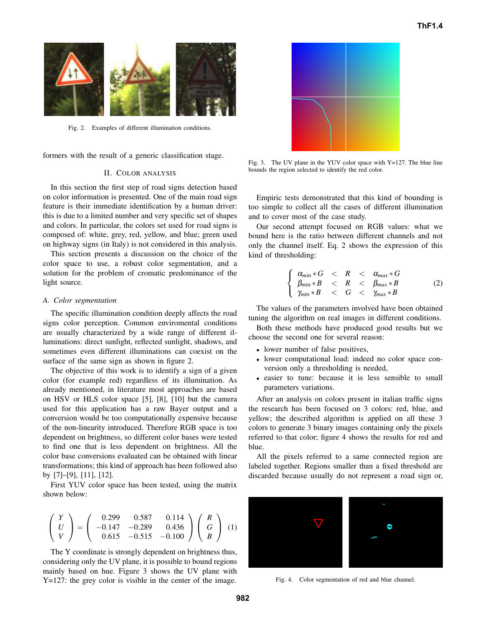

Fig. 2. Examples of different illumination conditions.

formers with the result of a generic classification stage.

#### II. COLOR ANALYSIS

In this section the first step of road signs detection based on color information is presented. One of the main road sign feature is their immediate identification by a human driver: this is due to a limited number and very specific set of shapes and colors. In particular, the colors set used for road signs is composed of: white, grey, red, yellow, and blue; green used on highway signs (in Italy) is not considered in this analysis.

This section presents a discussion on the choice of the color space to use, a robust color segmentation, and a solution for the problem of cromatic predominance of the light source.

#### *A. Color segmentation*

The specific illumination condition deeply affects the road signs color perception. Common enviromental conditions are usually characterized by a wide range of different illuminations: direct sunlight, reflected sunlight, shadows, and sometimes even different illuminations can coexist on the surface of the same sign as shown in figure 2.

The objective of this work is to identify a sign of a given color (for example red) regardless of its illumination. As already mentioned, in literature most approaches are based on HSV or HLS color space [5], [8], [10] but the camera used for this application has a raw Bayer output and a conversion would be too computationally expensive because of the non-linearity introduced. Therefore RGB space is too dependent on brightness, so different color bases were tested to find one that is less dependent on brightness. All the color base conversions evaluated can be obtained with linear transformations; this kind of approach has been followed also by [7]–[9], [11], [12].

First YUV color space has been tested, using the matrix shown below:

$$
\left(\begin{array}{c} Y \\ U \\ V \end{array}\right) = \left(\begin{array}{ccc} 0.299 & 0.587 & 0.114 \\ -0.147 & -0.289 & 0.436 \\ 0.615 & -0.515 & -0.100 \end{array}\right) \left(\begin{array}{c} R \\ G \\ B \end{array}\right) (1)
$$

The Y coordinate is strongly dependent on brightness thus, considering only the UV plane, it is possible to bound regions mainly based on hue. Figure 3 shows the UV plane with Y=127: the grey color is visible in the center of the image.



Fig. 3. The UV plane in the YUV color space with  $Y=127$ . The blue line bounds the region selected to identify the red color.

Empiric tests demonstrated that this kind of bounding is too simple to collect all the cases of different illumination and to cover most of the case study.

Our second attempt focused on RGB values: what we bound here is the ratio between different channels and not only the channel itself. Eq. 2 shows the expression of this kind of thresholding:

$$
\begin{cases}\n\alpha_{min} * G < R < \alpha_{max} * G \\
\beta_{min} * B < R < \beta_{max} * B \\
\gamma_{min} * B < G < \gamma_{max} * B\n\end{cases}
$$
\n(2)

The values of the parameters involved have been obtained tuning the algorithm on real images in different conditions.

Both these methods have produced good results but we choose the second one for several reason:

- lower number of false positives,
- lower computational load: indeed no color space conversion only a thresholding is needed,
- easier to tune: because it is less sensible to small parameters variations.

After an analysis on colors present in italian traffic signs the research has been focused on 3 colors: red, blue, and yellow; the described algorithm is applied on all these 3 colors to generate 3 binary images containing only the pixels referred to that color; figure 4 shows the results for red and blue.

All the pixels referred to a same connected region are labeled together. Regions smaller than a fixed threshold are discarded because usually do not represent a road sign or,



Fig. 4. Color segmentation of red and blue channel.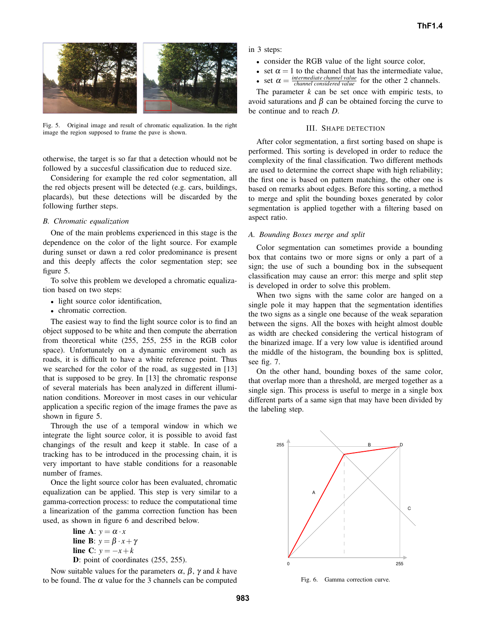

Fig. 5. Original image and result of chromatic equalization. In the right image the region supposed to frame the pave is shown.

otherwise, the target is so far that a detection whould not be followed by a succesful classification due to reduced size.

Considering for example the red color segmentation, all the red objects present will be detected (e.g. cars, buildings, placards), but these detections will be discarded by the following further steps.

#### *B. Chromatic equalization*

One of the main problems experienced in this stage is the dependence on the color of the light source. For example during sunset or dawn a red color predominance is present and this deeply affects the color segmentation step; see figure 5.

To solve this problem we developed a chromatic equalization based on two steps:

- light source color identification,
- chromatic correction.

The easiest way to find the light source color is to find an object supposed to be white and then compute the aberration from theoretical white (255, 255, 255 in the RGB color space). Unfortunately on a dynamic enviroment such as roads, it is difficult to have a white reference point. Thus we searched for the color of the road, as suggested in [13] that is supposed to be grey. In [13] the chromatic response of several materials has been analyzed in different illumination conditions. Moreover in most cases in our vehicular application a specific region of the image frames the pave as shown in figure 5.

Through the use of a temporal window in which we integrate the light source color, it is possible to avoid fast changings of the result and keep it stable. In case of a tracking has to be introduced in the processing chain, it is very important to have stable conditions for a reasonable number of frames.

Once the light source color has been evaluated, chromatic equalization can be applied. This step is very similar to a gamma-correction process: to reduce the computational time a linearization of the gamma correction function has been used, as shown in figure 6 and described below.

> line A:  $y = \alpha \cdot x$ line B:  $y = \beta \cdot x + \gamma$ line C:  $y = -x + k$ D: point of coordinates (255, 255).

Now suitable values for the parameters α, β, γ and *k* have to be found. The  $\alpha$  value for the 3 channels can be computed

- in 3 steps:
	- consider the RGB value of the light source color,
	- set  $\alpha = 1$  to the channel that has the intermediate value,
	- set  $\alpha = \frac{\text{intermediate channel value}}{\text{channel considered value}}$  for the other 2 channels.

The parameter  $k$  can be set once with empiric tests, to avoid saturations and  $β$  can be obtained forcing the curve to be continue and to reach *D*.

#### III. SHAPE DETECTION

After color segmentation, a first sorting based on shape is performed. This sorting is developed in order to reduce the complexity of the final classification. Two different methods are used to determine the correct shape with high reliability; the first one is based on pattern matching, the other one is based on remarks about edges. Before this sorting, a method to merge and split the bounding boxes generated by color segmentation is applied together with a filtering based on aspect ratio.

#### *A. Bounding Boxes merge and split*

Color segmentation can sometimes provide a bounding box that contains two or more signs or only a part of a sign; the use of such a bounding box in the subsequent classification may cause an error: this merge and split step is developed in order to solve this problem.

When two signs with the same color are hanged on a single pole it may happen that the segmentation identifies the two signs as a single one because of the weak separation between the signs. All the boxes with height almost double as width are checked considering the vertical histogram of the binarized image. If a very low value is identified around the middle of the histogram, the bounding box is splitted, see fig. 7.

On the other hand, bounding boxes of the same color, that overlap more than a threshold, are merged together as a single sign. This process is useful to merge in a single box different parts of a same sign that may have been divided by the labeling step.



Fig. 6. Gamma correction curve.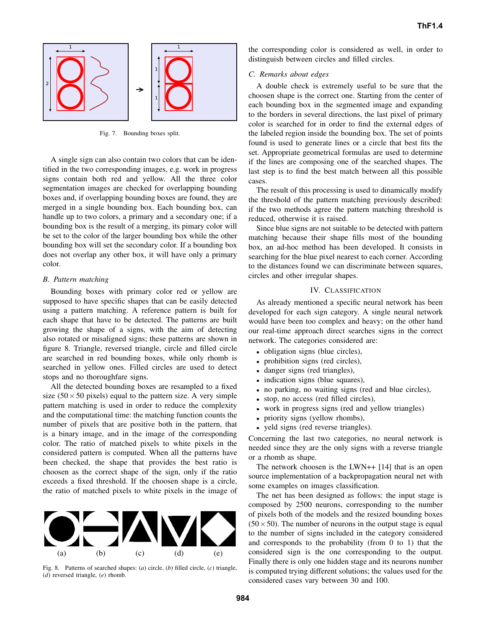

Fig. 7. Bounding boxes split.

A single sign can also contain two colors that can be identified in the two corresponding images, e.g. work in progress signs contain both red and yellow. All the three color segmentation images are checked for overlapping bounding boxes and, if overlapping bounding boxes are found, they are merged in a single bounding box. Each bounding box, can handle up to two colors, a primary and a secondary one; if a bounding box is the result of a merging, its pimary color will be set to the color of the larger bounding box while the other bounding box will set the secondary color. If a bounding box does not overlap any other box, it will have only a primary color.

### *B. Pattern matching*

Bounding boxes with primary color red or yellow are supposed to have specific shapes that can be easily detected using a pattern matching. A reference pattern is built for each shape that have to be detected. The patterns are built growing the shape of a signs, with the aim of detecting also rotated or misaligned signs; these patterns are shown in figure 8. Triangle, reversed triangle, circle and filled circle are searched in red bounding boxes, while only rhomb is searched in yellow ones. Filled circles are used to detect stops and no thoroughfare signs.

All the detected bounding boxes are resampled to a fixed size  $(50 \times 50$  pixels) equal to the pattern size. A very simple pattern matching is used in order to reduce the complexity and the computational time: the matching function counts the number of pixels that are positive both in the pattern, that is a binary image, and in the image of the corresponding color. The ratio of matched pixels to white pixels in the considered pattern is computed. When all the patterns have been checked, the shape that provides the best ratio is choosen as the correct shape of the sign, only if the ratio exceeds a fixed threshold. If the choosen shape is a circle, the ratio of matched pixels to white pixels in the image of



Fig. 8. Patterns of searched shapes: (*a*) circle, (*b*) filled circle, (*c*) triangle, (*d*) reversed triangle, (*e*) rhomb.

the corresponding color is considered as well, in order to distinguish between circles and filled circles.

## *C. Remarks about edges*

A double check is extremely useful to be sure that the choosen shape is the correct one. Starting from the center of each bounding box in the segmented image and expanding to the borders in several directions, the last pixel of primary color is searched for in order to find the external edges of the labeled region inside the bounding box. The set of points found is used to generate lines or a circle that best fits the set. Appropriate geometrical formulas are used to determine if the lines are composing one of the searched shapes. The last step is to find the best match between all this possible cases.

The result of this processing is used to dinamically modify the threshold of the pattern matching previously described: if the two methods agree the pattern matching threshold is reduced, otherwise it is raised.

Since blue signs are not suitable to be detected with pattern matching because their shape fills most of the bounding box, an ad-hoc method has been developed. It consists in searching for the blue pixel nearest to each corner. According to the distances found we can discriminate between squares, circles and other irregular shapes.

#### IV. CLASSIFICATION

As already mentioned a specific neural network has been developed for each sign category. A single neural network would have been too complex and heavy; on the other hand our real-time approach direct searches signs in the correct network. The categories considered are:

- obligation signs (blue circles),
- prohibition signs (red circles),
- danger signs (red triangles),
- indication signs (blue squares),
- no parking, no waiting signs (red and blue circles),
- stop, no access (red filled circles),
- work in progress signs (red and yellow triangles)
- priority signs (yellow rhombs),
- yeld signs (red reverse triangles).

Concerning the last two categories, no neural network is needed since they are the only signs with a reverse triangle or a rhomb as shape.

The network choosen is the LWN++ [14] that is an open source implementation of a backpropagation neural net with some examples on images classification.

The net has been designed as follows: the input stage is composed by 2500 neurons, corresponding to the number of pixels both of the models and the resized bounding boxes  $(50 \times 50)$ . The number of neurons in the output stage is equal to the number of signs included in the category considered and corresponds to the probability (from 0 to 1) that the considered sign is the one corresponding to the output. Finally there is only one hidden stage and its neurons number is computed trying different solutions; the values used for the considered cases vary between 30 and 100.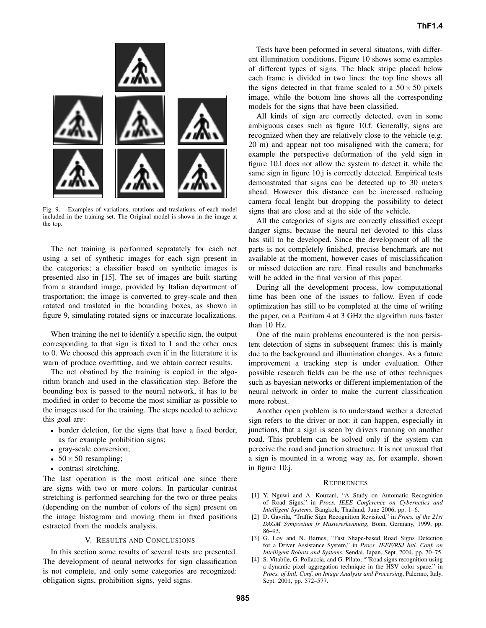

Fig. 9. Examples of variations, rotations and traslations, of each model included in the training set. The Original model is shown in the image at the top.

The net training is performed sepratately for each net using a set of synthetic images for each sign present in the categories; a classifier based on synthetic images is presented also in [15]. The set of images are built starting from a strandard image, provided by Italian department of trasportation; the image is converted to grey-scale and then rotated and traslated in the bounding boxes, as shown in figure 9, simulating rotated signs or inaccurate localizations.

When training the net to identify a specific sign, the output corresponding to that sign is fixed to 1 and the other ones to 0. We choosed this approach even if in the litterature it is warn of produce overfitting, and we obtain correct results.

The net obatined by the training is copied in the algorithm branch and used in the classification step. Before the bounding box is passed to the neural network, it has to be modified in order to become the most similiar as possible to the images used for the training. The steps needed to achieve this goal are:

- border deletion, for the signs that have a fixed border, as for example prohibition signs;
- gray-scale conversion;
- $50 \times 50$  resampling;
- contrast stretching.

The last operation is the most critical one since there are signs with two or more colors. In particular contrast stretching is performed searching for the two or three peaks (depending on the number of colors of the sign) present on the image histogram and moving them in fixed positions estracted from the models analysis.

#### V. RESULTS AND CONCLUSIONS

In this section some results of several tests are presented. The development of neural networks for sign classification is not complete, and only some categories are recognized: obligation signs, prohibition signs, yeld signs.

Tests have been peformed in several situatons, with different illumination conditions. Figure 10 shows some examples of different types of signs. The black stripe placed below each frame is divided in two lines: the top line shows all the signs detected in that frame scaled to a  $50 \times 50$  pixels image, while the bottom line shows all the corresponding models for the signs that have been classified.

All kinds of sign are correctly detected, even in some ambiguous cases such as figure 10.f. Generally, signs are recognized when they are relatively close to the vehicle (e.g. 20 m) and appear not too misaligned with the camera; for example the perspective deformation of the yeld sign in figure 10.l does not allow the system to detect it, while the same sign in figure 10.j is correctly detected. Empirical tests demonstrated that signs can be detected up to 30 meters ahead. However this distance can be increased reducing camera focal lenght but dropping the possibility to detect signs that are close and at the side of the vehicle.

All the categories of signs are correctly classified except danger signs, because the neural net devoted to this class has still to be developed. Since the development of all the parts is not completely finished, precise benchmark are not available at the moment, however cases of misclassification or missed detection are rare. Final results and benchmarks will be added in the final version of this paper.

During all the development process, low computational time has been one of the issues to follow. Even if code optimization has still to be completed at the time of writing the paper, on a Pentium 4 at 3 GHz the algorithm runs faster than 10 Hz.

One of the main problems encountered is the non persistent detection of signs in subsequent frames: this is mainly due to the background and illumination changes. As a future improvement a tracking step is under evaluation. Other possible research fields can be the use of other techniques such as bayesian networks or different implementation of the neural network in order to make the current classification more robust.

Another open problem is to understand wether a detected sign refers to the driver or not: it can happen, especially in junctions, that a sign is seen by drivers running on another road. This problem can be solved only if the system can perceive the road and junction structure. It is not unusual that a sign is mounted in a wrong way as, for example, shown in figure 10.j.

#### **REFERENCES**

- [1] Y. Nguwi and A. Kouzani, "A Study on Automatic Recognition of Road Signs," in *Procs. IEEE Conference on Cybernetics and Intelligent Systems*, Bangkok, Thailand, June 2006, pp. 1–6.
- [2] D. Gavrila, "Traffic Sign Recognition Revisited," in *Procs. of the 21st DAGM Symposium fr Mustererkennung*, Bonn, Germany, 1999, pp. 86–93.
- [3] G. Loy and N. Barnes, "Fast Shape-based Road Signs Detection for a Driver Assistance System," in *Procs. IEEE/RSJ Intl. Conf. on Intelligent Robots and Systems*, Sendai, Japan, Sept. 2004, pp. 70–75.
- [4] S. Vitabile, G. Pollaccia, and G. Pilato, ""Road signs recognition using a dynamic pixel aggregation technique in the HSV color space," in *Procs. of Intl. Conf. on Image Analysis and Processing*, Palermo, Italy, Sept. 2001, pp. 572–577.